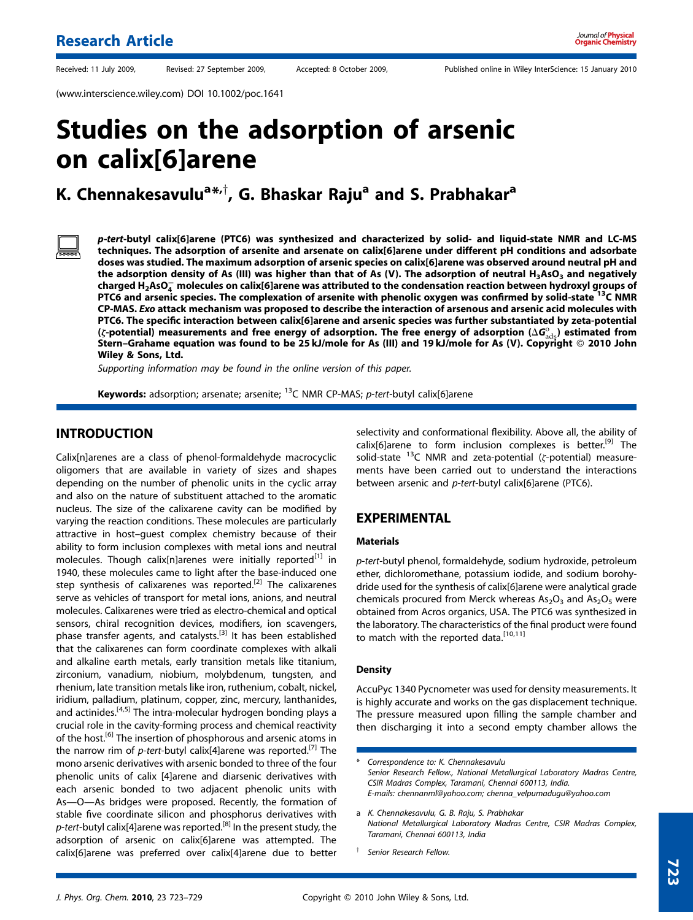Received: 11 July 2009, Revised: 27 September 2009, Accepted: 8 October 2009, Published online in Wiley InterScience: 15 January 2010

(www.interscience.wiley.com) DOI 10.1002/poc.1641

# Studies on the adsorption of arsenic on calix[6]arene

## K. Chennakesavulu<sup>a $\ast, \dagger$ , G. Bhaskar Raju $^{\mathsf{a}}$  and S. Prabhakar $^{\mathsf{a}}$ </sup>

p-tert-butyl calix[6]arene (PTC6) was synthesized and characterized by solid- and liquid-state NMR and LC-MS techniques. The adsorption of arsenite and arsenate on calix[6]arene under different pH conditions and adsorbate doses was studied. The maximum adsorption of arsenic species on calix[6]arene was observed around neutral pH and the adsorption density of As (III) was higher than that of As (V). The adsorption of neutral  $H_3ASO_3$  and negatively charged H2AsO $_4^-$  molecules on calix[6]arene was attributed to the condensation reaction between hydroxyl groups of PTC6 and arsenic species. The complexation of arsenite with phenolic oxygen was confirmed by solid-state <sup>13</sup>C NMR CP-MAS. Exo attack mechanism was proposed to describe the interaction of arsenous and arsenic acid molecules with PTC6. The specific interaction between calix[6]arene and arsenic species was further substantiated by zeta-potential ( $\zeta$ -potential) measurements and free energy of adsorption. The free energy of adsorption ( $\Delta G_{\rm ads}^{\rm o}$ ) estimated from Stern–Grahame equation was found to be 25 kJ/mole for As (III) and 19 kJ/mole for As (V). Copyright © 2010 John Wiley & Sons, Ltd.

Supporting information may be found in the online version of this paper.

Keywords: adsorption; arsenate; arsenite;  $^{13}$ C NMR CP-MAS; p-tert-butyl calix[6]arene

### INTRODUCTION

Calix[n]arenes are a class of phenol-formaldehyde macrocyclic oligomers that are available in variety of sizes and shapes depending on the number of phenolic units in the cyclic array and also on the nature of substituent attached to the aromatic nucleus. The size of the calixarene cavity can be modified by varying the reaction conditions. These molecules are particularly attractive in host–guest complex chemistry because of their ability to form inclusion complexes with metal ions and neutral molecules. Though calix[n]arenes were initially reported<sup>[1]</sup> in 1940, these molecules came to light after the base-induced one step synthesis of calixarenes was reported.<sup>[2]</sup> The calixarenes serve as vehicles of transport for metal ions, anions, and neutral molecules. Calixarenes were tried as electro-chemical and optical sensors, chiral recognition devices, modifiers, ion scavengers, phase transfer agents, and catalysts.[3] It has been established that the calixarenes can form coordinate complexes with alkali and alkaline earth metals, early transition metals like titanium, zirconium, vanadium, niobium, molybdenum, tungsten, and rhenium, late transition metals like iron, ruthenium, cobalt, nickel, iridium, palladium, platinum, copper, zinc, mercury, lanthanides, and actinides.<sup>[4,5]</sup> The intra-molecular hydrogen bonding plays a crucial role in the cavity-forming process and chemical reactivity of the host.<sup>[6]</sup> The insertion of phosphorous and arsenic atoms in the narrow rim of p-tert-butyl calix[4]arene was reported.<sup>[7]</sup> The mono arsenic derivatives with arsenic bonded to three of the four phenolic units of calix [4]arene and diarsenic derivatives with each arsenic bonded to two adjacent phenolic units with As—O—As bridges were proposed. Recently, the formation of stable five coordinate silicon and phosphorus derivatives with p-tert-butyl calix[4]arene was reported.<sup>[8]</sup> In the present study, the adsorption of arsenic on calix[6]arene was attempted. The calix[6]arene was preferred over calix[4]arene due to better selectivity and conformational flexibility. Above all, the ability of calix[6]arene to form inclusion complexes is better.<sup>[9]</sup> The solid-state  $^{13}$ C NMR and zeta-potential ( $\zeta$ -potential) measurements have been carried out to understand the interactions between arsenic and p-tert-butyl calix[6]arene (PTC6).

### EXPERIMENTAL

### Materials

p-tert-butyl phenol, formaldehyde, sodium hydroxide, petroleum ether, dichloromethane, potassium iodide, and sodium borohydride used for the synthesis of calix[6]arene were analytical grade chemicals procured from Merck whereas  $As<sub>2</sub>O<sub>3</sub>$  and  $As<sub>2</sub>O<sub>5</sub>$  were obtained from Acros organics, USA. The PTC6 was synthesized in the laboratory. The characteristics of the final product were found to match with the reported data.<sup>[10,11]</sup>

### **Density**

AccuPyc 1340 Pycnometer was used for density measurements. It is highly accurate and works on the gas displacement technique. The pressure measured upon filling the sample chamber and then discharging it into a second empty chamber allows the

Correspondence to: K. Chennakesavulu Senior Research Fellow., National Metallurgical Laboratory Madras Centre, CSIR Madras Complex, Taramani, Chennai 600113, India. E-mails: chennanml@yahoo.com; chenna\_velpumadugu@yahoo.com

a K. Chennakesavulu, G. B. Raju, S. Prabhakar National Metallurgical Laboratory Madras Centre, CSIR Madras Complex, Taramani, Chennai 600113, India

Senior Research Fellow.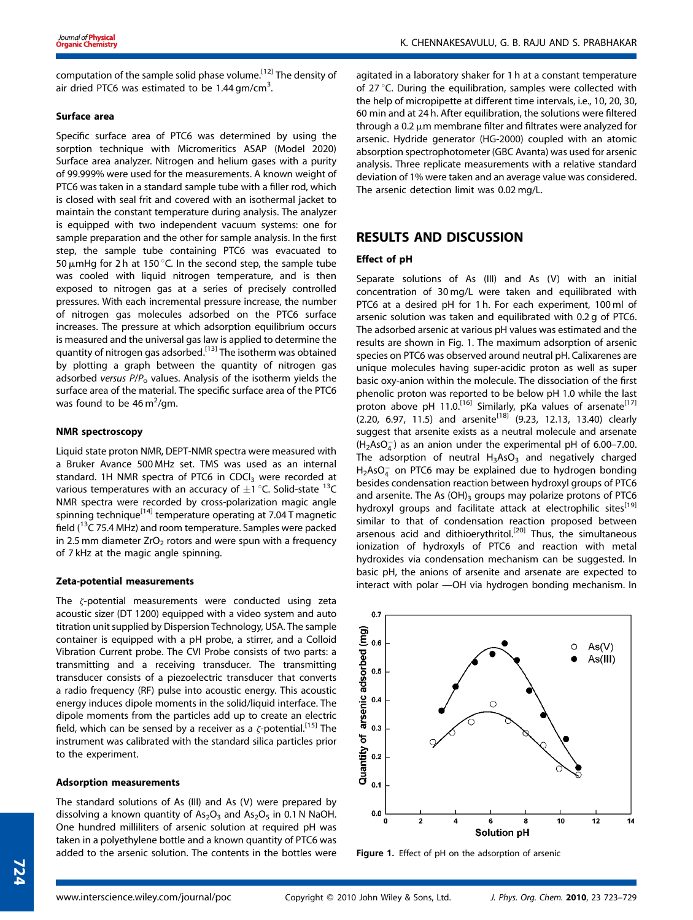computation of the sample solid phase volume.[12] The density of air dried PTC6 was estimated to be  $1.44 \text{ gm/cm}^3$ . .

### Surface area

Specific surface area of PTC6 was determined by using the sorption technique with Micromeritics ASAP (Model 2020) Surface area analyzer. Nitrogen and helium gases with a purity of 99.999% were used for the measurements. A known weight of PTC6 was taken in a standard sample tube with a filler rod, which is closed with seal frit and covered with an isothermal jacket to maintain the constant temperature during analysis. The analyzer is equipped with two independent vacuum systems: one for sample preparation and the other for sample analysis. In the first step, the sample tube containing PTC6 was evacuated to 50  $\mu$ mHg for 2 h at 150 °C. In the second step, the sample tube was cooled with liquid nitrogen temperature, and is then exposed to nitrogen gas at a series of precisely controlled pressures. With each incremental pressure increase, the number of nitrogen gas molecules adsorbed on the PTC6 surface increases. The pressure at which adsorption equilibrium occurs is measured and the universal gas law is applied to determine the quantity of nitrogen gas adsorbed.[13] The isotherm was obtained by plotting a graph between the quantity of nitrogen gas adsorbed versus  $P/P<sub>o</sub>$  values. Analysis of the isotherm yields the surface area of the material. The specific surface area of the PTC6 was found to be  $46 \,\mathrm{m}^2/\mathrm{gm}$ .

### NMR spectroscopy

Liquid state proton NMR, DEPT-NMR spectra were measured with a Bruker Avance 500 MHz set. TMS was used as an internal standard. 1H NMR spectra of PTC6 in CDCl<sub>3</sub> were recorded at various temperatures with an accuracy of  $\pm 1$  °C. Solid-state <sup>13</sup>C NMR spectra were recorded by cross-polarization magic angle spinning technique<sup>[14]</sup> temperature operating at 7.04 T magnetic field ( $13$ C 75.4 MHz) and room temperature. Samples were packed in 2.5 mm diameter  $ZrO<sub>2</sub>$  rotors and were spun with a frequency of 7 kHz at the magic angle spinning.

### Zeta-potential measurements

The z-potential measurements were conducted using zeta acoustic sizer (DT 1200) equipped with a video system and auto titration unit supplied by Dispersion Technology, USA. The sample container is equipped with a pH probe, a stirrer, and a Colloid Vibration Current probe. The CVI Probe consists of two parts: a transmitting and a receiving transducer. The transmitting transducer consists of a piezoelectric transducer that converts a radio frequency (RF) pulse into acoustic energy. This acoustic energy induces dipole moments in the solid/liquid interface. The dipole moments from the particles add up to create an electric field, which can be sensed by a receiver as a  $\zeta$ -potential.<sup>[15]</sup> The instrument was calibrated with the standard silica particles prior to the experiment.

### Adsorption measurements

The standard solutions of As (III) and As (V) were prepared by dissolving a known quantity of  $As<sub>2</sub>O<sub>3</sub>$  and  $As<sub>2</sub>O<sub>5</sub>$  in 0.1 N NaOH. One hundred milliliters of arsenic solution at required pH was taken in a polyethylene bottle and a known quantity of PTC6 was added to the arsenic solution. The contents in the bottles were

agitated in a laboratory shaker for 1 h at a constant temperature of 27 °C. During the equilibration, samples were collected with the help of micropipette at different time intervals, i.e., 10, 20, 30, 60 min and at 24 h. After equilibration, the solutions were filtered through a 0.2  $\mu$ m membrane filter and filtrates were analyzed for arsenic. Hydride generator (HG-2000) coupled with an atomic absorption spectrophotometer (GBC Avanta) was used for arsenic analysis. Three replicate measurements with a relative standard deviation of 1% were taken and an average value was considered. The arsenic detection limit was 0.02 mg/L.

### RESULTS AND DISCUSSION

### Effect of pH

Separate solutions of As (III) and As (V) with an initial concentration of 30 mg/L were taken and equilibrated with PTC6 at a desired pH for 1 h. For each experiment, 100 ml of arsenic solution was taken and equilibrated with 0.2 g of PTC6. The adsorbed arsenic at various pH values was estimated and the results are shown in Fig. 1. The maximum adsorption of arsenic species on PTC6 was observed around neutral pH. Calixarenes are unique molecules having super-acidic proton as well as super basic oxy-anion within the molecule. The dissociation of the first phenolic proton was reported to be below pH 1.0 while the last proton above pH 11.0.<sup>[16]</sup> Similarly, pKa values of arsenate<sup>[17]</sup>  $(2.20, 6.97, 11.5)$  and arsenite<sup>[18]</sup>  $(9.23, 12.13, 13.40)$  clearly suggest that arsenite exists as a neutral molecule and arsenate  $(H<sub>2</sub> AsO<sub>4</sub><sup>-</sup>)$  as an anion under the experimental pH of 6.00–7.00. The adsorption of neutral  $H_3AsO_3$  and negatively charged  ${\sf H_2AsO_4^-}$  on PTC6 may be explained due to hydrogen bonding besides condensation reaction between hydroxyl groups of PTC6 and arsenite. The As  $(OH)_3$  groups may polarize protons of PTC6 hydroxyl groups and facilitate attack at electrophilic sites<sup>[19]</sup> similar to that of condensation reaction proposed between arsenous acid and dithioerythritol.<sup>[20]</sup> Thus, the simultaneous ionization of hydroxyls of PTC6 and reaction with metal hydroxides via condensation mechanism can be suggested. In basic pH, the anions of arsenite and arsenate are expected to interact with polar —OH via hydrogen bonding mechanism. In



Figure 1. Effect of pH on the adsorption of arsenic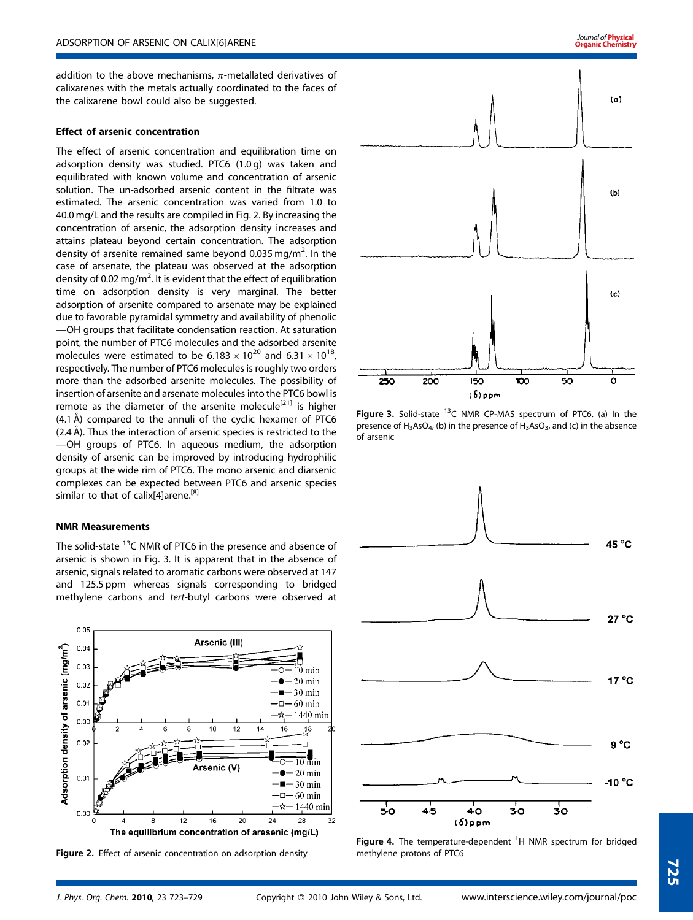addition to the above mechanisms,  $\pi$ -metallated derivatives of calixarenes with the metals actually coordinated to the faces of the calixarene bowl could also be suggested.

### Effect of arsenic concentration

The effect of arsenic concentration and equilibration time on adsorption density was studied. PTC6 (1.0 g) was taken and equilibrated with known volume and concentration of arsenic solution. The un-adsorbed arsenic content in the filtrate was estimated. The arsenic concentration was varied from 1.0 to 40.0 mg/L and the results are compiled in Fig. 2. By increasing the concentration of arsenic, the adsorption density increases and attains plateau beyond certain concentration. The adsorption density of arsenite remained same beyond 0.035 mg/m<sup>2</sup>. In the case of arsenate, the plateau was observed at the adsorption density of 0.02 mg/m<sup>2</sup>. It is evident that the effect of equilibration time on adsorption density is very marginal. The better adsorption of arsenite compared to arsenate may be explained due to favorable pyramidal symmetry and availability of phenolic —OH groups that facilitate condensation reaction. At saturation point, the number of PTC6 molecules and the adsorbed arsenite molecules were estimated to be 6.183  $\times$  10<sup>20</sup> and 6.31  $\times$  10<sup>18</sup>, respectively. The number of PTC6 molecules is roughly two orders more than the adsorbed arsenite molecules. The possibility of insertion of arsenite and arsenate molecules into the PTC6 bowl is remote as the diameter of the arsenite molecule<sup>[21]</sup> is higher  $(4.1 \text{ Å})$  compared to the annuli of the cyclic hexamer of PTC6  $(2.4 \text{ Å})$ . Thus the interaction of arsenic species is restricted to the —OH groups of PTC6. In aqueous medium, the adsorption density of arsenic can be improved by introducing hydrophilic groups at the wide rim of PTC6. The mono arsenic and diarsenic complexes can be expected between PTC6 and arsenic species similar to that of calix[4]arene.<sup>[8]</sup>

#### NMR Measurements

The solid-state <sup>13</sup>C NMR of PTC6 in the presence and absence of arsenic is shown in Fig. 3. It is apparent that in the absence of arsenic, signals related to aromatic carbons were observed at 147 and 125.5 ppm whereas signals corresponding to bridged methylene carbons and tert-butyl carbons were observed at



Figure 2. Effect of arsenic concentration on adsorption density



Figure 3. Solid-state  $13C$  NMR CP-MAS spectrum of PTC6. (a) In the presence of  $H_3AsO_{4}$ , (b) in the presence of  $H_3AsO_{3}$ , and (c) in the absence of arsenic



Figure 4. The temperature-dependent <sup>1</sup>H NMR spectrum for bridged<br>methylene protens of PTC6 methylene protons of PTC6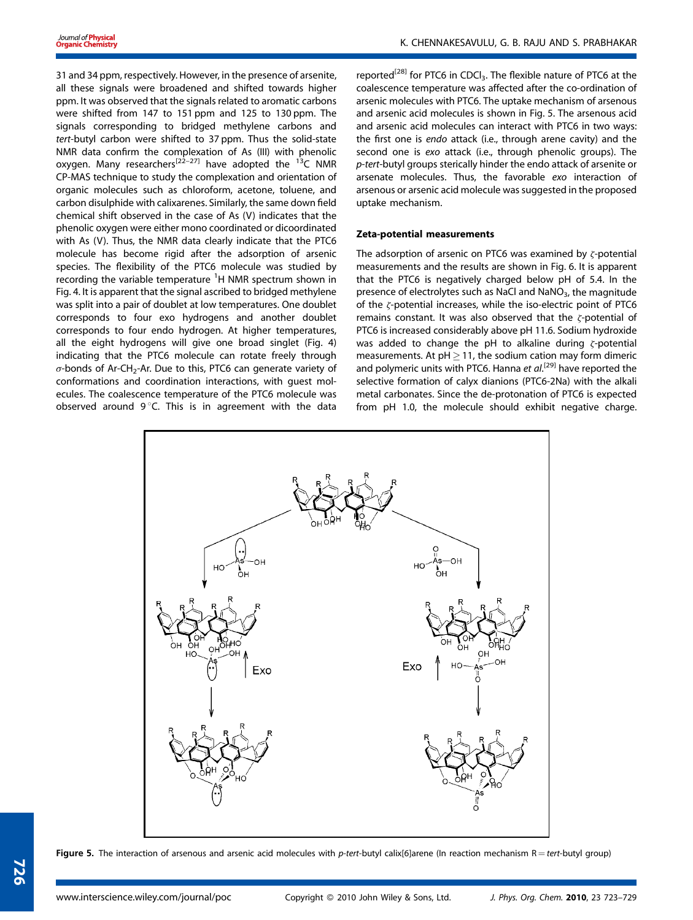31 and 34 ppm, respectively. However, in the presence of arsenite, all these signals were broadened and shifted towards higher ppm. It was observed that the signals related to aromatic carbons were shifted from 147 to 151 ppm and 125 to 130 ppm. The signals corresponding to bridged methylene carbons and tert-butyl carbon were shifted to 37 ppm. Thus the solid-state NMR data confirm the complexation of As (III) with phenolic oxygen. Many researchers<sup>[22–27]</sup> have adopted the <sup>13</sup>C NMR CP-MAS technique to study the complexation and orientation of organic molecules such as chloroform, acetone, toluene, and carbon disulphide with calixarenes. Similarly, the same down field chemical shift observed in the case of As (V) indicates that the phenolic oxygen were either mono coordinated or dicoordinated with As (V). Thus, the NMR data clearly indicate that the PTC6 molecule has become rigid after the adsorption of arsenic species. The flexibility of the PTC6 molecule was studied by recording the variable temperature  ${}^{1}$ H NMR spectrum shown in Fig. 4. It is apparent that the signal ascribed to bridged methylene was split into a pair of doublet at low temperatures. One doublet corresponds to four exo hydrogens and another doublet corresponds to four endo hydrogen. At higher temperatures, all the eight hydrogens will give one broad singlet (Fig. 4) indicating that the PTC6 molecule can rotate freely through  $\sigma$ -bonds of Ar-CH<sub>2</sub>-Ar. Due to this, PTC6 can generate variety of conformations and coordination interactions, with guest molecules. The coalescence temperature of the PTC6 molecule was observed around  $9^{\circ}$ C. This is in agreement with the data reported<sup>[28]</sup> for PTC6 in CDCl<sub>3</sub>. The flexible nature of PTC6 at the coalescence temperature was affected after the co-ordination of arsenic molecules with PTC6. The uptake mechanism of arsenous and arsenic acid molecules is shown in Fig. 5. The arsenous acid and arsenic acid molecules can interact with PTC6 in two ways: the first one is endo attack (i.e., through arene cavity) and the second one is exo attack (i.e., through phenolic groups). The p-tert-butyl groups sterically hinder the endo attack of arsenite or arsenate molecules. Thus, the favorable exo interaction of arsenous or arsenic acid molecule was suggested in the proposed uptake mechanism.

### Zeta-potential measurements

The adsorption of arsenic on PTC6 was examined by  $\zeta$ -potential measurements and the results are shown in Fig. 6. It is apparent that the PTC6 is negatively charged below pH of 5.4. In the presence of electrolytes such as NaCl and NaNO<sub>3</sub>, the magnitude of the  $\zeta$ -potential increases, while the iso-electric point of PTC6 remains constant. It was also observed that the  $\zeta$ -potential of PTC6 is increased considerably above pH 11.6. Sodium hydroxide was added to change the pH to alkaline during  $\zeta$ -potential measurements. At  $pH \geq 11$ , the sodium cation may form dimeric and polymeric units with PTC6. Hanna et al.<sup>[29]</sup> have reported the selective formation of calyx dianions (PTC6-2Na) with the alkali metal carbonates. Since the de-protonation of PTC6 is expected from pH 1.0, the molecule should exhibit negative charge.



Figure 5. The interaction of arsenous and arsenic acid molecules with p-tert-butyl calix[6]arene (In reaction mechanism  $R = tert$ -butyl group)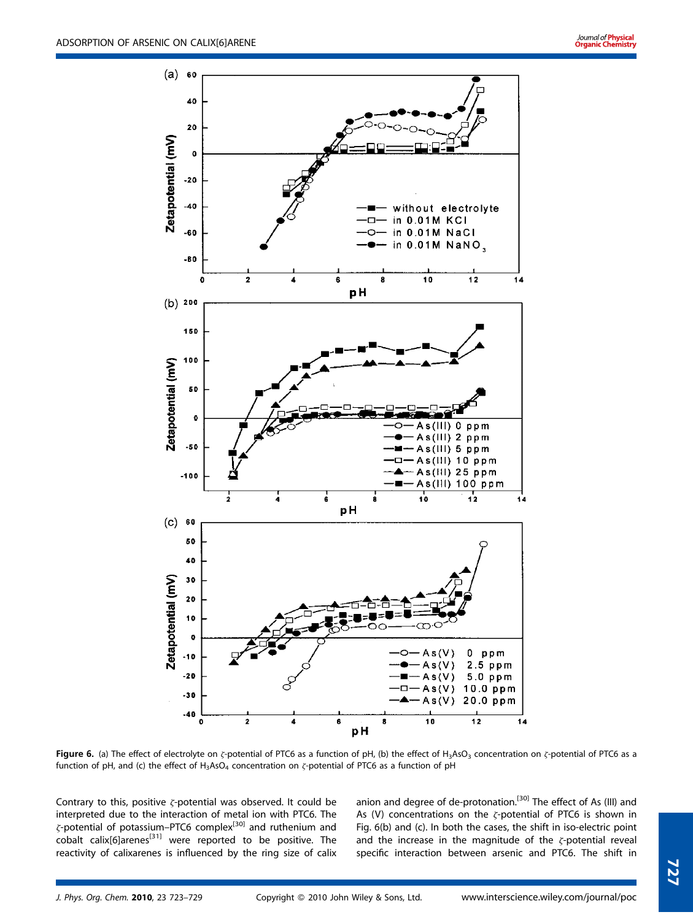

Figure 6. (a) The effect of electrolyte on  $\zeta$ -potential of PTC6 as a function of pH, (b) the effect of H<sub>3</sub>AsO<sub>3</sub> concentration on  $\zeta$ -potential of PTC6 as a function of pH, and (c) the effect of  $H_3ASO_4$  concentration on  $\zeta$ -potential of PTC6 as a function of pH

Contrary to this, positive  $\zeta$ -potential was observed. It could be interpreted due to the interaction of metal ion with PTC6. The  $\zeta$ -potential of potassium–PTC6 complex<sup>[30]</sup> and ruthenium and cobalt calix[6]arenes[31] were reported to be positive. The reactivity of calixarenes is influenced by the ring size of calix anion and degree of de-protonation.<sup>[30]</sup> The effect of As (III) and As (V) concentrations on the  $\zeta$ -potential of PTC6 is shown in Fig. 6(b) and (c). In both the cases, the shift in iso-electric point and the increase in the magnitude of the  $\zeta$ -potential reveal specific interaction between arsenic and PTC6. The shift in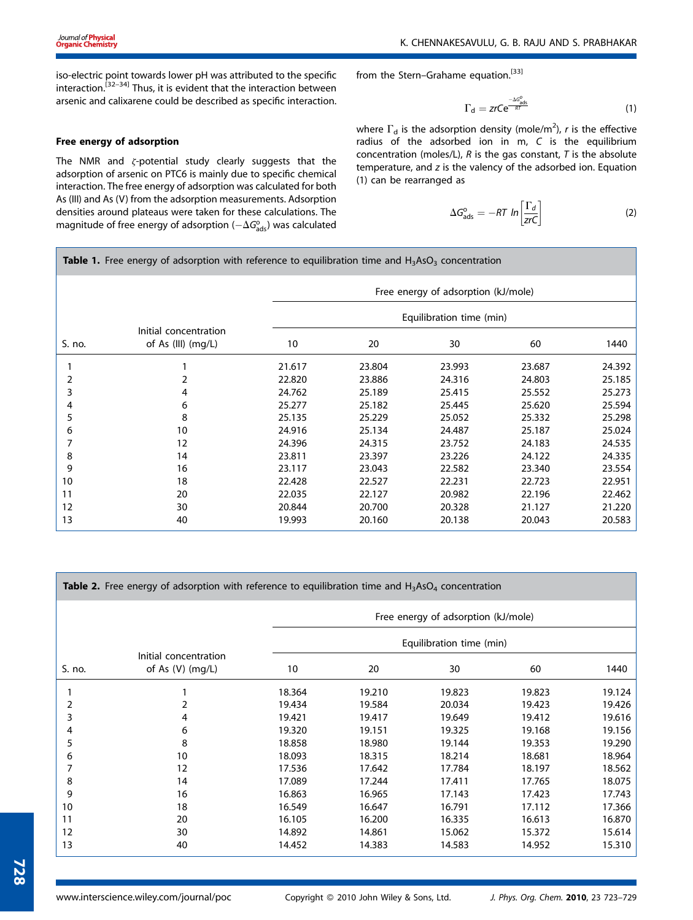iso-electric point towards lower pH was attributed to the specific interaction.<sup>[32–34]</sup> Thus, it is evident that the interaction between arsenic and calixarene could be described as specific interaction.

### Free energy of adsorption

The NMR and  $\zeta$ -potential study clearly suggests that the adsorption of arsenic on PTC6 is mainly due to specific chemical interaction. The free energy of adsorption was calculated for both As (III) and As (V) from the adsorption measurements. Adsorption densities around plateaus were taken for these calculations. The magnitude of free energy of adsorption ( $-\Delta G_{\rm ads}^{\rm o}$ ) was calculated

from the Stern-Grahame equation.<sup>[33]</sup>

$$
\Gamma_{\rm d} = zrCe^{\frac{-\Delta G_{\rm ads}^0}{RT}} \tag{1}
$$

where  $\Gamma_{\textsf{\scriptsize{d}}}$  is the adsorption density (mole/m<sup>2</sup>),  $r$  is the effective radius of the adsorbed ion in m, C is the equilibrium concentration (moles/L),  $R$  is the gas constant,  $T$  is the absolute temperature, and z is the valency of the adsorbed ion. Equation (1) can be rearranged as

$$
\Delta G_{\rm ads}^{\rm o} = -RT \ln \left[ \frac{\Gamma_d}{zrc} \right] \tag{2}
$$

**Table 1.** Free energy of adsorption with reference to equilibration time and  $H_3$ AsO<sub>3</sub> concentration

|        |                                             | Free energy of adsorption (kJ/mole) |        |        |        |        |  |  |
|--------|---------------------------------------------|-------------------------------------|--------|--------|--------|--------|--|--|
|        |                                             | Equilibration time (min)            |        |        |        |        |  |  |
| S. no. | Initial concentration<br>of As (III) (mg/L) | 10                                  | 20     | 30     | 60     | 1440   |  |  |
|        |                                             | 21.617                              | 23.804 | 23.993 | 23.687 | 24.392 |  |  |
|        |                                             | 22.820                              | 23.886 | 24.316 | 24.803 | 25.185 |  |  |
| 3      | 4                                           | 24.762                              | 25.189 | 25.415 | 25.552 | 25.273 |  |  |
| 4      | 6                                           | 25.277                              | 25.182 | 25.445 | 25.620 | 25.594 |  |  |
| 5      | 8                                           | 25.135                              | 25.229 | 25.052 | 25.332 | 25.298 |  |  |
| 6      | 10                                          | 24.916                              | 25.134 | 24.487 | 25.187 | 25.024 |  |  |
| 7      | 12                                          | 24.396                              | 24.315 | 23.752 | 24.183 | 24.535 |  |  |
| 8      | 14                                          | 23.811                              | 23.397 | 23.226 | 24.122 | 24.335 |  |  |
| 9      | 16                                          | 23.117                              | 23.043 | 22.582 | 23.340 | 23.554 |  |  |
| 10     | 18                                          | 22.428                              | 22.527 | 22.231 | 22.723 | 22.951 |  |  |
| 11     | 20                                          | 22.035                              | 22.127 | 20.982 | 22.196 | 22.462 |  |  |
| 12     | 30                                          | 20.844                              | 20.700 | 20.328 | 21.127 | 21.220 |  |  |
| 13     | 40                                          | 19.993                              | 20.160 | 20.138 | 20.043 | 20.583 |  |  |

| Table 2. Free energy of adsorption with reference to equilibration time and H <sub>3</sub> AsO <sub>4</sub> concentration |                                             |                                                                 |        |        |        |        |  |  |  |  |
|---------------------------------------------------------------------------------------------------------------------------|---------------------------------------------|-----------------------------------------------------------------|--------|--------|--------|--------|--|--|--|--|
|                                                                                                                           |                                             | Free energy of adsorption (kJ/mole)<br>Equilibration time (min) |        |        |        |        |  |  |  |  |
|                                                                                                                           |                                             |                                                                 |        |        |        |        |  |  |  |  |
| S. no.                                                                                                                    | Initial concentration<br>of As $(V)$ (mg/L) | 10                                                              | 20     | 30     | 60     | 1440   |  |  |  |  |
|                                                                                                                           |                                             | 18.364                                                          | 19.210 | 19.823 | 19.823 | 19.124 |  |  |  |  |
| 2                                                                                                                         | 2                                           | 19.434                                                          | 19.584 | 20.034 | 19.423 | 19.426 |  |  |  |  |
| 3                                                                                                                         | 4                                           | 19.421                                                          | 19.417 | 19.649 | 19.412 | 19.616 |  |  |  |  |
| 4                                                                                                                         | 6                                           | 19.320                                                          | 19.151 | 19.325 | 19.168 | 19.156 |  |  |  |  |
| 5                                                                                                                         | 8                                           | 18.858                                                          | 18.980 | 19.144 | 19.353 | 19.290 |  |  |  |  |
| 6                                                                                                                         | 10                                          | 18.093                                                          | 18.315 | 18.214 | 18.681 | 18.964 |  |  |  |  |
|                                                                                                                           | 12                                          | 17.536                                                          | 17.642 | 17.784 | 18.197 | 18.562 |  |  |  |  |
| 8                                                                                                                         | 14                                          | 17.089                                                          | 17.244 | 17.411 | 17.765 | 18.075 |  |  |  |  |
| 9                                                                                                                         | 16                                          | 16.863                                                          | 16.965 | 17.143 | 17.423 | 17.743 |  |  |  |  |
| 10                                                                                                                        | 18                                          | 16.549                                                          | 16.647 | 16.791 | 17.112 | 17.366 |  |  |  |  |
| 11                                                                                                                        | 20                                          | 16.105                                                          | 16.200 | 16.335 | 16.613 | 16.870 |  |  |  |  |
| 12                                                                                                                        | 30                                          | 14.892                                                          | 14.861 | 15.062 | 15.372 | 15.614 |  |  |  |  |
| 13                                                                                                                        | 40                                          | 14.452                                                          | 14.383 | 14.583 | 14.952 | 15.310 |  |  |  |  |